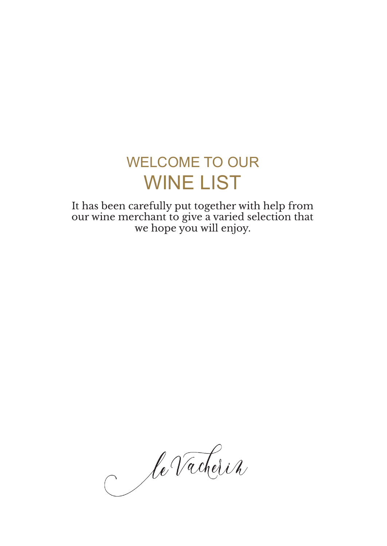# WELCOME TO OUR WINE LIST

It has been carefully put together with help from our wine merchant to give a varied selection that we hope you will enjoy.

le Vacherin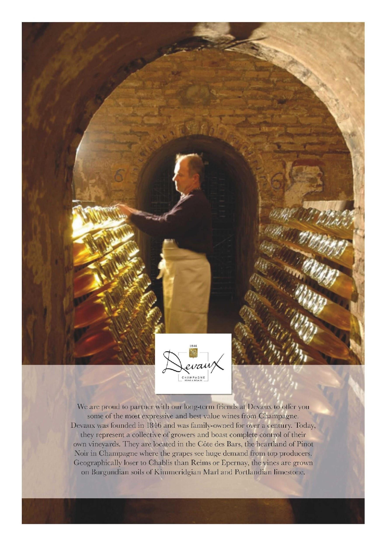

We are proud to partner with our long-term friends at Devaux to offer you some of the most expressive and best value wines from Champagne. Devaux was founded in 1846 and was family-owned for over a century. Today, they represent a collective of growers and boast complete control of their own vineyards. They are located in the Côte des Bars, the heartland of Pinot Noir in Champagne where the grapes see huge demand from top producers. Geographically loser to Chablis than Reims or Epernay, the vines are grown on Burgundian soils of Kimmeridgian Marl and Portlandian limestone.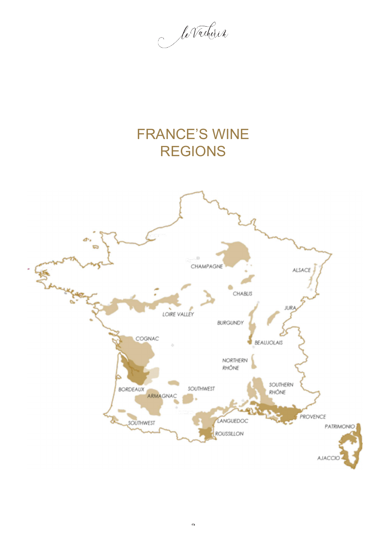le Vacherin

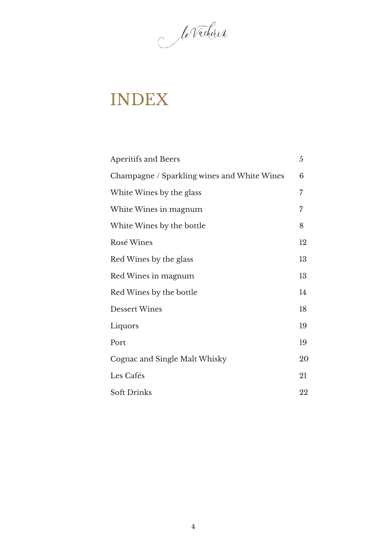le Vacherin

# INDEX

| <b>Aperitifs and Beers</b>                  | 5  |
|---------------------------------------------|----|
| Champagne / Sparkling wines and White Wines | 6  |
| White Wines by the glass                    | 7  |
| White Wines in magnum                       | 7  |
| White Wines by the bottle                   | 8  |
| Rosé Wines                                  | 12 |
| Red Wines by the glass                      | 13 |
| Red Wines in magnum                         | 13 |
| Red Wines by the bottle                     | 14 |
| <b>Dessert Wines</b>                        | 18 |
| Liquors                                     | 19 |
| Port                                        | 19 |
| Cognac and Single Malt Whisky               | 20 |
| Les Cafés                                   | 21 |
| <b>Soft Drinks</b>                          | 22 |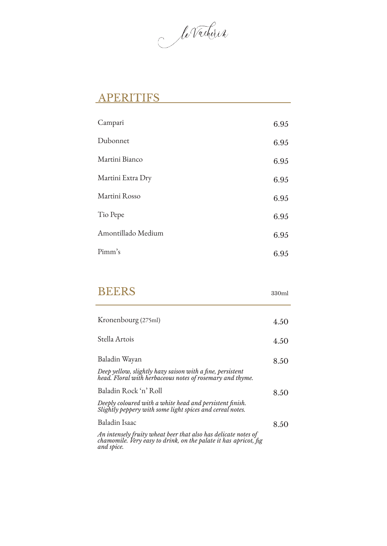le Vacherin

### APERITIFS

| Campari            | 6.95 |
|--------------------|------|
| Dubonnet           | 6.95 |
| Martini Bianco     | 6.95 |
| Martini Extra Dry  | 6.95 |
| Martini Rosso      | 6.95 |
| Tio Pepe           | 6.95 |
| Amontillado Medium | 6.95 |
| Pimm's             | 6.95 |

| <b>BEERS</b>                                                                                                                                     | 330ml |
|--------------------------------------------------------------------------------------------------------------------------------------------------|-------|
| Kronenbourg (275ml)                                                                                                                              | 4.50  |
| Stella Artois                                                                                                                                    | 4.50  |
| Baladin Wayan                                                                                                                                    | 8.50  |
| Deep yellow, slightly hazy saison with a fine, persistent<br>head. Floral with herbaceous notes of rosemary and thyme.                           |       |
| Baladin Rock 'n' Roll                                                                                                                            | 8.50  |
| Deeply coloured with a white head and persistent finish.<br>Slightly peppery with some light spices and cereal notes.                            |       |
| Baladin Isaac                                                                                                                                    | 8.50  |
| An intensely fruity wheat beer that also has delicate notes of<br>chamomile. Very easy to drink, on the palate it has apricot, fig<br>and spice. |       |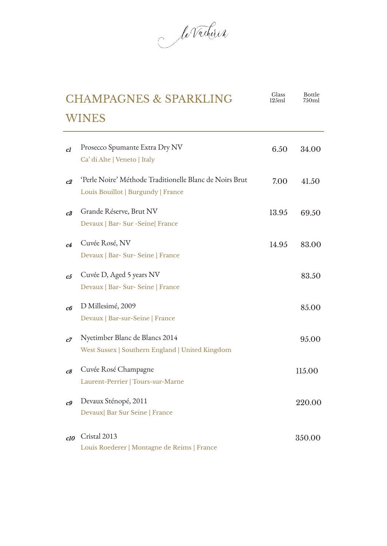le Vacherin

|                | <b>CHAMPAGNES &amp; SPARKLING</b>                       | Glass<br>125ml | Bottle<br>750ml |
|----------------|---------------------------------------------------------|----------------|-----------------|
|                | <b>WINES</b>                                            |                |                 |
| c1             | Prosecco Spumante Extra Dry NV                          | 6.50           | 34.00           |
|                | Ca' di Alte   Veneto   Italy                            |                |                 |
| c2             | 'Perle Noire' Méthode Traditionelle Blanc de Noirs Brut | 7.00           | 41.50           |
|                | Louis Bouillot   Burgundy   France                      |                |                 |
| c3             | Grande Réserve, Brut NV                                 | 13.95          | 69.50           |
|                | Devaux   Bar- Sur - Seine   France                      |                |                 |
| c4             | Cuvée Rosé, NV                                          | 14.95          | 83.00           |
|                | Devaux   Bar- Sur- Seine   France                       |                |                 |
| c5             | Cuvée D, Aged 5 years NV                                |                | 83.50           |
|                | Devaux   Bar- Sur- Seine   France                       |                |                 |
| c6             | D Millesimé, 2009                                       |                | 85.00           |
|                | Devaux   Bar-sur-Seine   France                         |                |                 |
| c7             | Nyetimber Blanc de Blancs 2014                          |                | 95.00           |
|                | West Sussex   Southern England   United Kingdom         |                |                 |
| c8             | Cuvée Rosé Champagne                                    |                | 115.00          |
|                | Laurent-Perrier   Tours-sur-Marne                       |                |                 |
| c <sub>9</sub> | Devaux Sténopé, 2011                                    |                | 220.00          |
|                | Devaux  Bar Sur Seine   France                          |                |                 |
| c10            | Cristal 2013                                            |                | 350.00          |
|                | Louis Roederer   Montagne de Reims   France             |                |                 |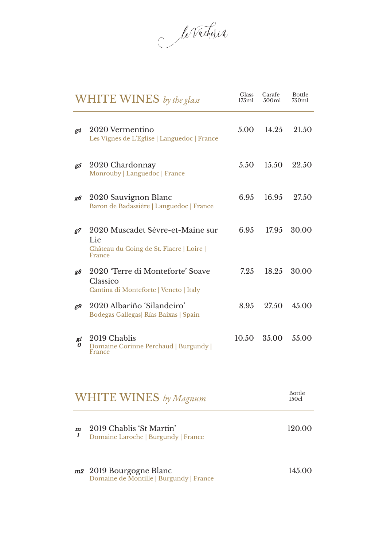le Vacherin

|                       | <b>WHITE WINES</b> by the glass                                                               | <b>Glass</b><br>175ml | Carafe<br>500ml | <b>Bottle</b><br>750ml |
|-----------------------|-----------------------------------------------------------------------------------------------|-----------------------|-----------------|------------------------|
| g4                    | 2020 Vermentino<br>Les Vignes de L'Eglise   Languedoc   France                                | 5.00                  | 14.25           | 21.50                  |
| g5                    | 2020 Chardonnay<br>Monrouby   Languedoc   France                                              | 5.50                  | 15.50           | 22.50                  |
| g6                    | 2020 Sauvignon Blanc<br>Baron de Badassière   Languedoc   France                              | 6.95                  | 16.95           | 27.50                  |
| g7                    | 2020 Muscadet Sèvre-et-Maine sur<br>Lie<br>Château du Coing de St. Fiacre   Loire  <br>France | 6.95                  | 17.95           | 30.00                  |
| g8                    | 2020 'Terre di Monteforte' Soave<br>Classico<br>Cantina di Monteforte   Veneto   Italy        | 7.25                  | 18.25           | 30.00                  |
| g9                    | 2020 Albariño 'Silandeiro'<br>Bodegas Gallegas  Rías Baixas   Spain                           | 8.95                  | 27.50           | 45.00                  |
| gl<br>0               | 2019 Chablis<br>Domaine Corinne Perchaud   Burgundy  <br>France                               | 10.50                 | 35.00           | 55.00                  |
|                       | <b>WHITE WINES</b> by Magnum                                                                  |                       |                 | <b>Bottle</b><br>150c1 |
| $\boldsymbol{m}$<br>1 | 2019 Chablis 'St Martin'<br>Domaine Laroche   Burgundy   France                               |                       |                 | 120.00                 |

m2 2019 Bourgogne Blanc Domaine de Montille | Burgundy | France

145.00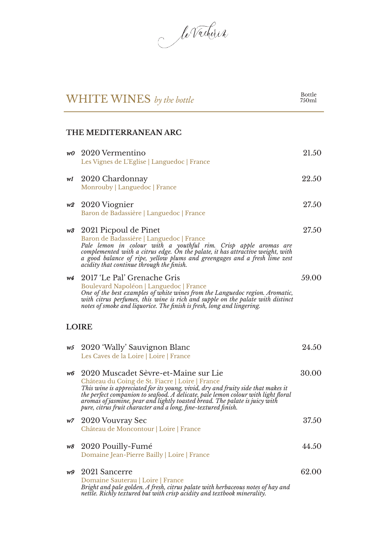le Vacherin

## WHITE WINES *by the bottle*

### **THE MEDITERRANEAN ARC**

| w0 | 2020 Vermentino<br>Les Vignes de L'Eglise   Languedoc   France                                                                                                                                                                                                                                                                                                                                                    | 21.50 |
|----|-------------------------------------------------------------------------------------------------------------------------------------------------------------------------------------------------------------------------------------------------------------------------------------------------------------------------------------------------------------------------------------------------------------------|-------|
| wl | 2020 Chardonnay<br>Monrouby   Languedoc   France                                                                                                                                                                                                                                                                                                                                                                  | 22.50 |
| w2 | 2020 Viognier<br>Baron de Badassière   Languedoc   France                                                                                                                                                                                                                                                                                                                                                         | 27.50 |
| w3 | 2021 Picpoul de Pinet<br>Baron de Badassière   Languedoc   France<br>Pale lemon in colour with a youthful rim. Crisp apple aromas are<br>complemented with a citrus edge. On the palate, it has attractive weight, with<br>a good balance of ripe, yellow plums and greengages and a fresh lime zest<br>acidity that continue through the finish.                                                                 | 27.50 |
| w4 | 2017 'Le Pal' Grenache Gris<br>Boulevard Napoléon   Languedoc   France<br>One of the best examples of white wines from the Languedoc region. Aromatic,<br>with citrus perfumes, this wine is rich and supple on the palate with distinct<br>notes of smoke and liquorice. The finish is fresh, long and lingering.                                                                                                | 59.00 |
|    | <b>LOIRE</b>                                                                                                                                                                                                                                                                                                                                                                                                      |       |
| w5 | 2020 'Wally' Sauvignon Blanc<br>Les Caves de la Loire   Loire   France                                                                                                                                                                                                                                                                                                                                            | 24.50 |
| w6 | 2020 Muscadet Sèvre-et-Maine sur Lie<br>Château du Coing de St. Fiacre   Loire   France<br>This wine is appreciated for its young, vivid, dry and fruity side that makes it<br>the perfect companion to seafood. A delicate, pale lemon colour with light floral<br>aromas of jasmine, pear and lightly toasted bread. The palate is juicy with<br>pure, citrus fruit character and a long, fine-textured finish. | 30.00 |
|    | w7 2020 Vouvray Sec<br>Château de Moncontour   Loire   France                                                                                                                                                                                                                                                                                                                                                     | 37.50 |
| w8 | 2020 Pouilly-Fumé<br>Domaine Jean-Pierre Bailly   Loire   France                                                                                                                                                                                                                                                                                                                                                  | 44.50 |
| w9 | 2021 Sancerre<br>Domaine Sauterau   Loire   France<br>Bright and pale golden. A fresh, citrus palate with herbaceous notes of hay and<br>nettle. Richly textured but with crisp acidity and textbook minerality.                                                                                                                                                                                                  | 62.00 |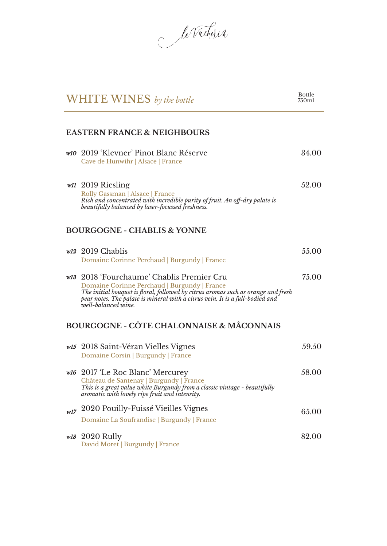le Vacherin

|         | WHITE WINES by the bottle                                                                                                                                                                                                                                                              | <b>Bottle</b><br>750ml |
|---------|----------------------------------------------------------------------------------------------------------------------------------------------------------------------------------------------------------------------------------------------------------------------------------------|------------------------|
|         | <b>EASTERN FRANCE &amp; NEIGHBOURS</b>                                                                                                                                                                                                                                                 |                        |
|         | w10 2019 'Klevner' Pinot Blanc Réserve<br>Cave de Hunwihr   Alsace   France                                                                                                                                                                                                            | 34.00                  |
|         | w <sub>II</sub> 2019 Riesling<br>Rolly Gassman   Alsace   France<br>Rich and concentrated with incredible purity of fruit. An off-dry palate is<br>beautifully balanced by laser-focussed freshness.                                                                                   | 52.00                  |
|         | <b>BOURGOGNE - CHABLIS &amp; YONNE</b>                                                                                                                                                                                                                                                 |                        |
|         | $w12$ 2019 Chablis<br>Domaine Corinne Perchaud   Burgundy   France                                                                                                                                                                                                                     | 55.00                  |
|         | w13 2018 'Fourchaume' Chablis Premier Cru<br>Domaine Corinne Perchaud   Burgundy   France<br>The initial bouquet is floral, followed by citrus aromas such as orange and fresh<br>pear notes. The palate is mineral with a citrus vein. It is a full-bodied and<br>well-balanced wine. | 75.00                  |
|         | <b>BOURGOGNE - CÔTE CHALONNAISE &amp; MÂCONNAIS</b>                                                                                                                                                                                                                                    |                        |
|         | w <sup>15</sup> 2018 Saint-Véran Vielles Vignes<br>Domaine Corsin   Burgundy   France                                                                                                                                                                                                  | 59.50                  |
|         | w <sub>16</sub> 2017 'Le Roc Blanc' Mercurey<br>Château de Santenay   Burgundy   France<br>This is a great value white Burgundy from a classic vintage - beautifully<br>aromatic with lovely ripe fruit and intensity.                                                                 | 58.00                  |
| $w l 7$ | 2020 Pouilly-Fuissé Vieilles Vignes<br>Domaine La Soufrandise   Burgundy   France                                                                                                                                                                                                      | 65.00                  |
|         | <i>w18</i> 2020 Rully<br>David Moret   Burgundy   France                                                                                                                                                                                                                               | 82.00                  |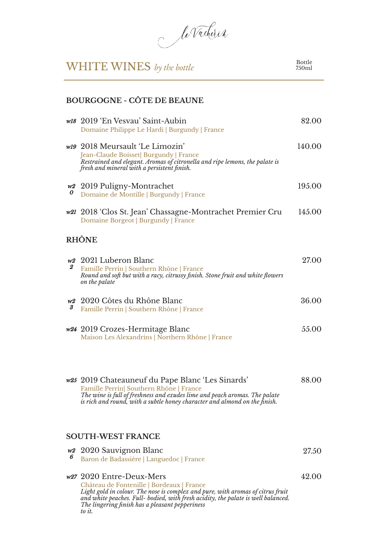le Vacherin

## WHITE WINES *by the bottle*

Bottle 750ml

#### **BOURGOGNE - CÔTE DE BEAUNE**

|              | w <sub>18</sub> 2019 En Vesvau' Saint-Aubin<br>Domaine Philippe Le Hardi   Burgundy   France                                                                                                                                                            | 82.00  |
|--------------|---------------------------------------------------------------------------------------------------------------------------------------------------------------------------------------------------------------------------------------------------------|--------|
|              | w19 2018 Meursault 'Le Limozin'<br>Jean-Claude Boisset  Burgundy   France<br>Restrained and elegant. Aromas of citronella and ripe lemons, the palate is<br>fresh and mineral with a persistent finish.                                                 | 140.00 |
| 0            | w <sub>2</sub> 2019 Puligny-Montrachet<br>Domaine de Montille   Burgundy   France                                                                                                                                                                       | 195.00 |
|              | w21 2018 'Clos St. Jean' Chassagne-Montrachet Premier Cru<br>Domaine Borgeot   Burgundy   France                                                                                                                                                        | 145.00 |
|              | <b>RHÔNE</b>                                                                                                                                                                                                                                            |        |
| $\mathbf{2}$ | w <sub>2</sub> 2021 Luberon Blanc<br>Famille Perrin   Southern Rhône   France<br>Round and soft but with a racy, citrussy finish. Stone fruit and white flowers<br>on the palate                                                                        | 27.00  |
| 3            | w <sup>2</sup> 2020 Côtes du Rhône Blanc<br>Famille Perrin   Southern Rhône   France                                                                                                                                                                    | 36.00  |
|              | w24 2019 Crozes-Hermitage Blanc<br>Maison Les Alexandrins   Northern Rhône   France                                                                                                                                                                     | 55.00  |
|              | w25 2019 Chateauneuf du Pape Blanc 'Les Sinards'<br>Famille Perrin  Southern Rhône   France<br>The wine is full of freshness and exudes lime and peach aromas. The palate<br>is rich and round, with a subtle honey character and almond on the finish. | 88.00  |
|              | <b>SOUTH-WEST FRANCE</b>                                                                                                                                                                                                                                |        |
| w2<br>6      | 2020 Sauvignon Blanc<br>Baron de Badassière   Languedoc   France                                                                                                                                                                                        | 27.50  |

w27 2020 Entre-Deux-Mers Château de Fontenille | Bordeaux | France *Light gold in colour. The nose is complex and pure, with aromas of citrus fruit and white peaches. Full- bodied, with fresh acidity, the palate is well balanced. The lingering finish has a pleasant pepperiness to it.* 42.00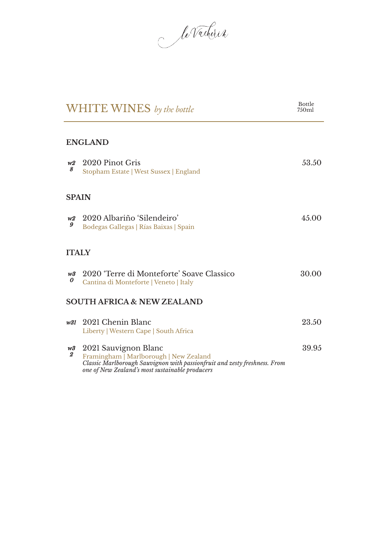le Vacherin

|                        | WHITE WINES by the bottle                                                                                                                                                                      | <b>Bottle</b><br>750ml |
|------------------------|------------------------------------------------------------------------------------------------------------------------------------------------------------------------------------------------|------------------------|
|                        | <b>ENGLAND</b>                                                                                                                                                                                 |                        |
| W2<br>8                | 2020 Pinot Gris<br>Stopham Estate   West Sussex   England                                                                                                                                      | 53.50                  |
| <b>SPAIN</b>           |                                                                                                                                                                                                |                        |
| W2<br>9                | 2020 Albariño 'Silendeiro'<br>Bodegas Gallegas   Rías Baixas   Spain                                                                                                                           | 45.00                  |
| <b>ITALY</b>           |                                                                                                                                                                                                |                        |
| w3<br>0                | 2020 'Terre di Monteforte' Soave Classico<br>Cantina di Monteforte   Veneto   Italy                                                                                                            | 30.00                  |
|                        | <b>SOUTH AFRICA &amp; NEW ZEALAND</b>                                                                                                                                                          |                        |
| w31                    | 2021 Chenin Blanc<br>Liberty   Western Cape   South Africa                                                                                                                                     | 23.50                  |
| w3<br>$\boldsymbol{2}$ | 2021 Sauvignon Blanc<br>Framingham   Marlborough   New Zealand<br>Classic Marlborough Sauvignon with passionfruit and zesty freshness. From<br>one of New Zealand's most sustainable producers | 39.95                  |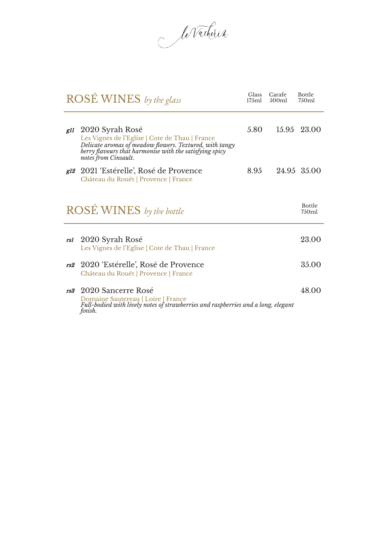le Vacherin

|                                    | <b>ROSÉ WINES</b> by the glass                                                                                                                                                                                      | Glass<br>175ml | Carafe<br>500ml | Bottle<br>750ml        |
|------------------------------------|---------------------------------------------------------------------------------------------------------------------------------------------------------------------------------------------------------------------|----------------|-----------------|------------------------|
|                                    | g11 2020 Syrah Rosé<br>Les Vignes de l'Eglise   Cote de Thau   France<br>Delicate aromas of meadow flowers. Textured, with tangy<br>berry flavours that harmonise with the satisfying spicy<br>notes from Cinsault. | 5.80           |                 | 15.95 23.00            |
|                                    | <i>g12</i> 2021 'Estérelle', Rosé de Provence<br>Château du Rouët   Provence   France                                                                                                                               | 8.95           |                 | 24.95 35.00            |
|                                    | <b>ROSÉ WINES</b> by the bottle                                                                                                                                                                                     |                |                 | <b>Bottle</b><br>750ml |
| rsl                                | 2020 Syrah Rosé<br>Les Vignes de l'Eglise   Cote de Thau   France                                                                                                                                                   |                |                 | 23.00                  |
| rs2                                | -2020 'Estérelle', Rosé de Provence<br>Château du Rouët   Provence   France                                                                                                                                         |                |                 | 35.00                  |
| rs <sup>3</sup> 2020 Sancerre Rosé |                                                                                                                                                                                                                     |                |                 | 48.00                  |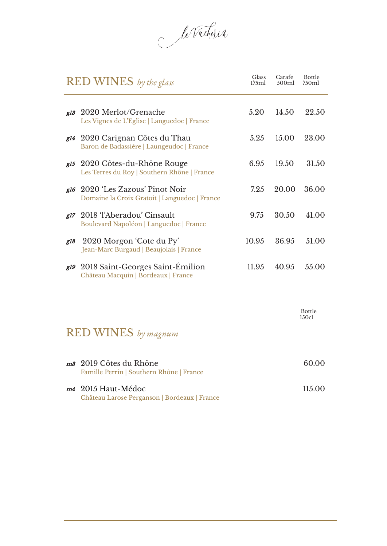le Vacherin

|     | <b>RED WINES</b> by the glass                                                                  | Glass<br>175ml | Carafe<br>500ml | <b>Bottle</b><br>750ml |
|-----|------------------------------------------------------------------------------------------------|----------------|-----------------|------------------------|
| g13 | 2020 Merlot/Grenache<br>Les Vignes de L'Eglise   Languedoc   France                            | 5.20           | 14.50           | 22.50                  |
|     | <i>g</i> 14 2020 Carignan Côtes du Thau<br>Baron de Badassière   Laungeudoc   France           | 5.25           | 15.00           | 23.00                  |
|     | <i>gl<sub>5</sub></i> 2020 Côtes-du-Rhône Rouge<br>Les Terres du Roy   Southern Rhône   France | 6.95           | 19.50           | 31.50                  |
|     | gl <sub>6</sub> 2020 'Les Zazous' Pinot Noir<br>Domaine la Croix Gratoit   Languedoc   France  | 7.25           | 20.00           | 36.00                  |
|     | g <sup>17</sup> 2018 TAberadou' Cinsault<br>Boulevard Napoléon   Languedoc   France            | 9.75           | 30.50           | 41.00                  |
| g18 | 2020 Morgon 'Cote du Py'<br>Jean-Marc Burgaud   Beaujolais   France                            | 10.95          | 36.95           | 51.00                  |
|     | g19 2018 Saint-Georges Saint-Emilion<br>Château Macquin   Bordeaux   France                    | 11.95          | 40.95           | 55.00                  |

Bottle 150cl

## RED WINES *by magnum*

| m <sup>3</sup> 2019 Côtes du Rhône<br>Famille Perrin   Southern Rhône   France | 60.OO   |
|--------------------------------------------------------------------------------|---------|
| m4 2015 Haut-Médoc<br>Château Larose Perganson   Bordeaux   France             | 11.5 QQ |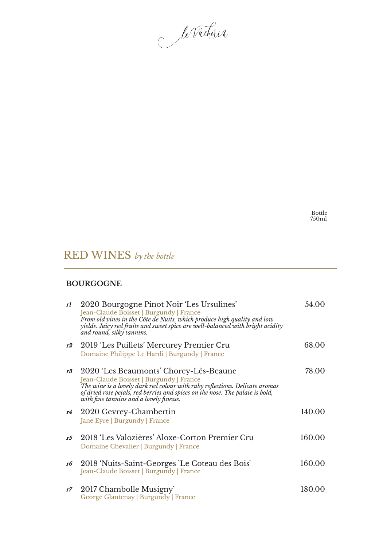le Vacherin

Bottle 750ml

## RED WINES *by the bottle*

#### **BOURGOGNE**

| rl | 2020 Bourgogne Pinot Noir 'Les Ursulines'<br>Jean-Claude Boisset   Burgundy   France<br>From old vines in the Côte de Nuits, which produce high quality and low<br>yields. Juicy red fruits and sweet spice are well-balanced with bright acidity<br>and round, silky tannins.               | 54.00  |
|----|----------------------------------------------------------------------------------------------------------------------------------------------------------------------------------------------------------------------------------------------------------------------------------------------|--------|
| r2 | 2019 'Les Puillets' Mercurey Premier Cru<br>Domaine Philippe Le Hardi   Burgundy   France                                                                                                                                                                                                    | 68.00  |
| r3 | 2020 'Les Beaumonts' Chorey-Lès-Beaune<br>Jean-Claude Boisset   Burgundy   France<br>The wine is a lovely dark red colour with ruby reflections. Delicate aromas<br>of dried rose petals, red berries and spices on the nose. The palate is bold,<br>with fine tannins and a lovely finesse. | 78.00  |
| r4 | 2020 Gevrey-Chambertin<br>Jane Eyre   Burgundy   France                                                                                                                                                                                                                                      | 140.00 |
| r5 | 2018 'Les Valozières' Aloxe-Corton Premier Cru<br>Domaine Chevalier   Burgundy   France                                                                                                                                                                                                      | 160.00 |
| r6 | 2018 'Nuits-Saint-Georges `Le Coteau des Bois`<br>Jean-Claude Boisset   Burgundy   France                                                                                                                                                                                                    | 160.00 |
| r7 | 2017 Chambolle Musigny<br>George Glantenay   Burgundy   France                                                                                                                                                                                                                               | 180.00 |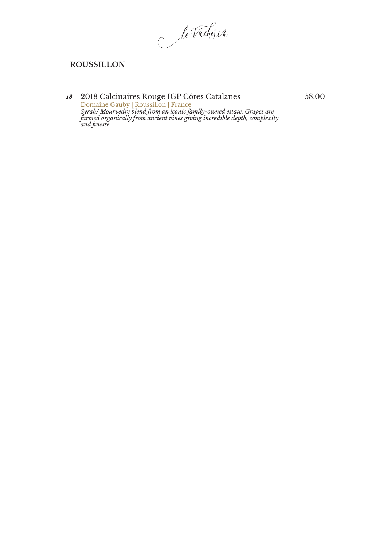le Vacherin

#### **ROUSSILLON**

#### r8 2018 Calcinaires Rouge IGP Côtes Catalanes Domaine Gauby | Roussillon | France *Syrah/ Mourvedre blend from an iconic family-owned estate. Grapes are farmed organically from ancient vines giving incredible depth, complexity and finesse.*

58.00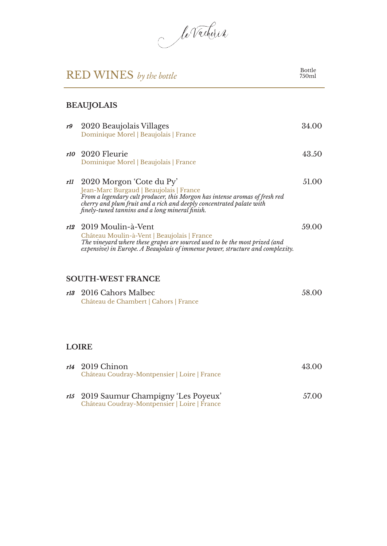le Vacherin

#### Bottle 750ml

### **BEAUJOLAIS**

| r9  | 2020 Beaujolais Villages<br>Dominique Morel   Beaujolais   France                                                                                                                                                                                                             | 34.00 |
|-----|-------------------------------------------------------------------------------------------------------------------------------------------------------------------------------------------------------------------------------------------------------------------------------|-------|
|     | r10 2020 Fleurie<br>Dominique Morel   Beaujolais   France                                                                                                                                                                                                                     | 43.50 |
| rll | 2020 Morgon 'Cote du Py'<br>Jean-Marc Burgaud   Beaujolais   France<br>From a legendary cult producer, this Morgon has intense aromas of fresh red<br>cherry and plum fruit and a rich and deeply concentrated palate with<br>finely-tuned tannins and a long mineral finish. | 51.00 |
|     | r <sup>12</sup> 2019 Moulin-à-Vent<br>Château Moulin-à-Vent   Beaujolais   France<br>The vineyard where these grapes are sourced used to be the most prized (and<br>expensive) in Europe. A Beaujolais of immense power, structure and complexity.                            | 59.00 |
|     | <b>SOUTH-WEST FRANCE</b>                                                                                                                                                                                                                                                      |       |
| r13 | 2016 Cahors Malbec<br>Château de Chambert   Cahors   France                                                                                                                                                                                                                   | 58.00 |
|     | <b>LOIRE</b>                                                                                                                                                                                                                                                                  |       |
| r14 | 2019 Chinon<br>Château Coudray-Montpensier   Loire   France                                                                                                                                                                                                                   | 43.00 |

r15 2019 Saumur Champigny 'Les Poyeux' Château Coudray-Montpensier | Loire | France 57.00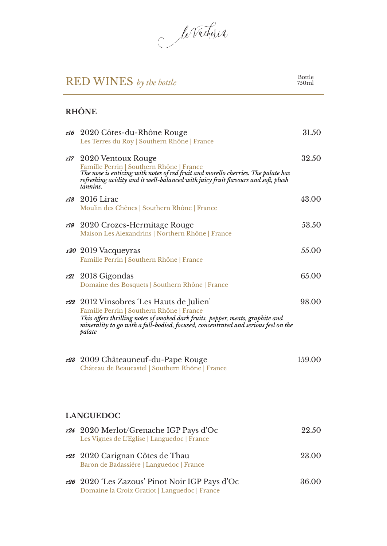le Vacherin

#### Bottle 750ml

### **RHÔNE**

|     | rt6 2020 Côtes-du-Rhône Rouge<br>Les Terres du Roy   Southern Rhône   France                                                                                                                                                                                           | 31.50  |
|-----|------------------------------------------------------------------------------------------------------------------------------------------------------------------------------------------------------------------------------------------------------------------------|--------|
|     | r <sup>17</sup> 2020 Ventoux Rouge<br>Famille Perrin   Southern Rhône   France<br>The nose is enticing with notes of red fruit and morello cherries. The palate has<br>refreshing acidity and it well-balanced with juicy fruit flavours and soft, plush<br>tannins.   | 32.50  |
| rl8 | 2016 Lirac<br>Moulin des Chênes   Southern Rhône   France                                                                                                                                                                                                              | 43.00  |
| rl9 | 2020 Crozes-Hermitage Rouge<br>Maison Les Alexandrins   Northern Rhône   France                                                                                                                                                                                        | 53.50  |
|     | r <sub>20</sub> 2019 Vacqueyras<br>Famille Perrin   Southern Rhône   France                                                                                                                                                                                            | 55.00  |
|     | $r21$ 2018 Gigondas<br>Domaine des Bosquets   Southern Rhône   France                                                                                                                                                                                                  | 65.00  |
|     | r22 2012 Vinsobres 'Les Hauts de Julien'<br>Famille Perrin   Southern Rhône   France<br>This offers thrilling notes of smoked dark fruits, pepper, meats, graphite and<br>minerality to go with a full-bodied, focused, concentrated and serious feel on the<br>palate | 98.00  |
|     | <i>r23</i> 2009 Châteauneuf-du-Pape Rouge<br>Château de Beaucastel   Southern Rhône   France                                                                                                                                                                           | 159.00 |
|     | <b>LANGUEDOC</b>                                                                                                                                                                                                                                                       |        |
|     | r <sup>24</sup> 2020 Merlot/Grenache IGP Pays d'Oc<br>Les Vignes de L'Eglise   Languedoc   France                                                                                                                                                                      | 22.50  |
|     | r <sup>25</sup> 2020 Carignan Côtes de Thau<br>Baron de Badassière   Languedoc   France                                                                                                                                                                                | 23.00  |
|     | r26 2020 'Les Zazous' Pinot Noir IGP Pays d'Oc<br>Domaine la Croix Gratiot   Languedoc   France                                                                                                                                                                        | 36.00  |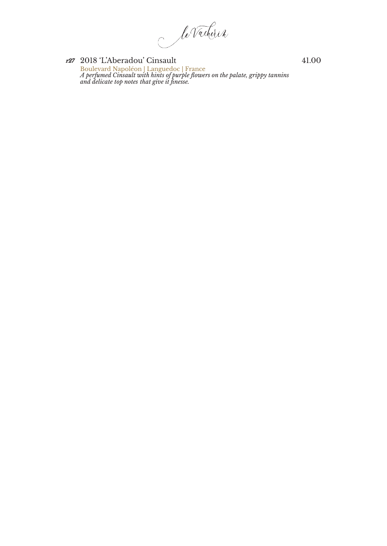le Vacherin

r27 2018 'L'Aberadou' Cinsault Boulevard Napoléon | Languedoc | France *A perfumed Cinsault with hints of purple flowers on the palate, grippy tannins and delicate top notes that give it finesse.*

41.00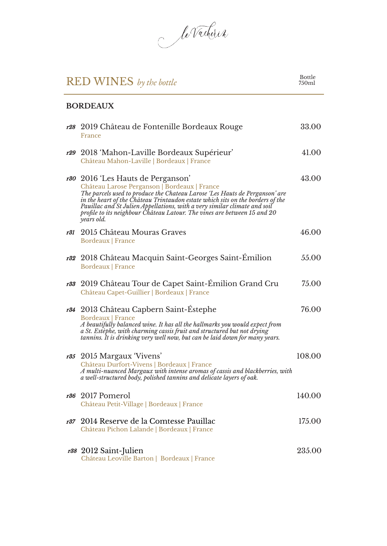le Vacherin

r28 2019 Château de Fontenille Bordeaux Rouge

**BORDEAUX**

#### Bottle 750ml

33.00

#### France r29 2018 'Mahon-Laville Bordeaux Supérieur' Château Mahon-Laville | Bordeaux | France 41.00 r30 2016 'Les Hauts de Perganson' Château Larose Perganson | Bordeaux | France *The parcels used to produce the Chateau Larose 'Les Hauts de Perganson' are in the heart of the Château Trintaudon estate which sits on the borders of the Pauillac and St Julien Appellations, with a very similar climate and soil profile to its neighbour Château Latour. The vines are between 15 and 20 years old.* 43.00 r31 2015 Château Mouras Graves Bordeaux | France 46.00 r32 2018 Château Macquin Saint-Georges Saint-Émilion Bordeaux | France 55.00 r33 2019 Château Tour de Capet Saint-Émilion Grand Cru Château Capet-Guillier | Bordeaux | France 75.00 r34 2013 Château Capbern Saint-Éstephe Bordeaux | France *A beautifully balanced wine. It has all the hallmarks you would expect from a St. Estèphe, with charming cassis fruit and structured but not drying tannins. It is drinking very well now, but can be laid down for many years.* 76.00 r35 2015 Margaux 'Vivens' Château Durfort-Vivens | Bordeaux | France *A multi-nuanced Margaux with intense aromas of cassis and blackberries, with a well-structured body, polished tannins and delicate layers of oak.* 108.00 r36 2017 Pomerol Château Petit-Village | Bordeaux | France 140.00 r37 2014 Reserve de la Comtesse Pauillac Château Pichon Lalande | Bordeaux | France 175.00 r38 2012 Saint-Julien 235.00

Château Leoville Barton | Bordeaux | France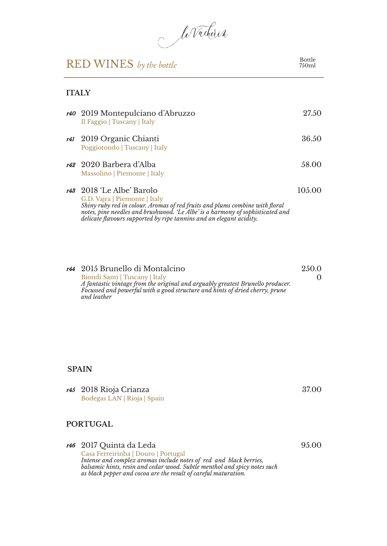le Vacherin

Bottle 750ml

#### **ITALY**

| r40 2019 Montepulciano d'Abruzzo<br>Il Faggio   Tuscany   Italy                                                                                                                                                                                                                                                 | 27.50  |
|-----------------------------------------------------------------------------------------------------------------------------------------------------------------------------------------------------------------------------------------------------------------------------------------------------------------|--------|
| r <sup>41</sup> 2019 Organic Chianti<br>Poggiotondo   Tuscany   Italy                                                                                                                                                                                                                                           | 36.50  |
| 142 2020 Barbera d'Alba<br>Massolino   Piemonte   Italy                                                                                                                                                                                                                                                         | 58.00  |
| r <sup>43</sup> 2018 'Le Albe' Barolo<br>G.D. Vajra   Piemonte   Italy<br>Shiny ruby red in colour. Aromas of red fruits and plums combine with floral<br>notes, pine needles and brushwood. 'Le Albe' is a harmony of sophisticated and<br>delicate flavours supported by ripe tannins and an elegant acidity. | 105.00 |

| 144 2015 Brunello di Montalcino                                                                                                                                | 2.50.0 |
|----------------------------------------------------------------------------------------------------------------------------------------------------------------|--------|
| Biondi Santi   Tuscany   Italy                                                                                                                                 |        |
| A fantastic vintage from the original and arguably greatest Brunello producer.<br>Focussed and powerful with a good structure and hints of dried cherry, prune |        |
| and leather                                                                                                                                                    |        |

#### **SPAIN**

| r <sup>45</sup> 2018 Rioja Crianza | 37.00 |
|------------------------------------|-------|
| Bodegas LAN   Rioja   Spain        |       |
|                                    |       |

### **PORTUGAL**

| <i>r46</i> 2017 Ouinta da Leda                                                                                                                                                                                                                            | 95.00 |
|-----------------------------------------------------------------------------------------------------------------------------------------------------------------------------------------------------------------------------------------------------------|-------|
| Casa Ferreirinha   Douro   Portugal<br>Intense and complex aromas include notes of red and black berries,<br>balsamic hints, resin and cedar wood. Subtle menthol and spicy notes such<br>as black pepper and cocoa are the result of careful maturation. |       |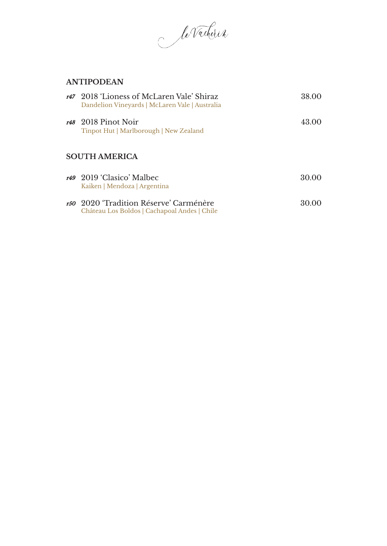le Vacherin

#### **ANTIPODEAN**

|  | r47 2018 'Lioness of McLaren Vale' Shiraz<br>Dandelion Vineyards   McLaren Vale   Australia       | 38.00 |
|--|---------------------------------------------------------------------------------------------------|-------|
|  | r48 2018 Pinot Noir<br>Tinpot Hut   Marlborough   New Zealand                                     | 43.00 |
|  | SOUTH AMERICA                                                                                     |       |
|  | r <sub>49</sub> 2019 Clasico' Malbec<br>Kaiken   Mendoza   Argentina                              | 30.00 |
|  | r <sub>50</sub> 2020 Tradition Réserve' Carménère<br>Château Los Boldos   Cachapoal Andes   Chile | 30.00 |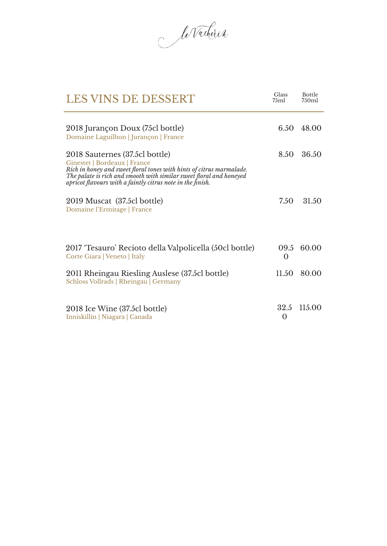le Vacherin

| <b>LES VINS DE DESSERT</b>                                                                                                                                                                                                                                                  | Glass<br>75ml | <b>Bottle</b><br>750ml |
|-----------------------------------------------------------------------------------------------------------------------------------------------------------------------------------------------------------------------------------------------------------------------------|---------------|------------------------|
| 2018 Jurançon Doux (75cl bottle)<br>Domaine Laguilhon   Jurançon   France                                                                                                                                                                                                   | 6.50          | 48.00                  |
| 2018 Sauternes (37.5cl bottle)<br>Ginestet   Bordeaux   France<br>Rich in honey and sweet floral tones with hints of citrus marmalade.<br>The palate is rich and smooth with similar sweet floral and honeyed<br>apricot flavours with a faintly citrus note in the finish. | 8.50          | 36.50                  |
| 2019 Muscat (37.5cl bottle)<br>Domaine l'Ermitage   France                                                                                                                                                                                                                  | 7.50          | 31.50                  |
| 2017 'Tesauro' Recioto della Valpolicella (50cl bottle)<br>Corte Giara   Veneto   Italy                                                                                                                                                                                     | $\bf{0}$      | 09.5 60.00             |
| 2011 Rheingau Riesling Auslese (37.5cl bottle)<br>Schloss Vollrads   Rheingau   Germany                                                                                                                                                                                     | 11.50         | 80.00                  |
| 2018 Ice Wine (37.5cl bottle)<br>Inniskillin   Niagara   Canada                                                                                                                                                                                                             | 32.5<br>0     | 115.00                 |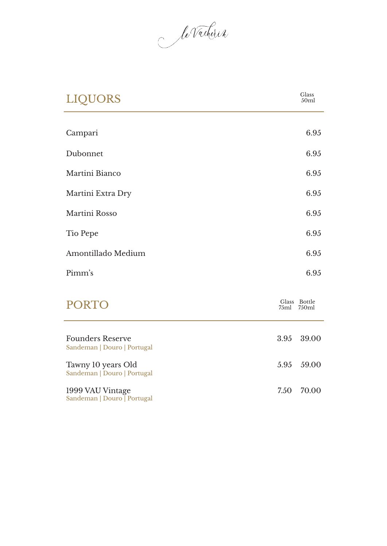le Vacherin

| <b>LIQUORS</b>                                         | Glass<br>50ml              |
|--------------------------------------------------------|----------------------------|
| Campari                                                | 6.95                       |
| Dubonnet                                               | 6.95                       |
| Martini Bianco                                         | 6.95                       |
| Martini Extra Dry                                      | 6.95                       |
| Martini Rosso                                          | 6.95                       |
| Tio Pepe                                               | 6.95                       |
| Amontillado Medium                                     | 6.95                       |
| Pimm's                                                 | 6.95                       |
| <b>PORTO</b>                                           | Glass Bottle<br>75ml 750ml |
| <b>Founders Reserve</b><br>Sandeman   Douro   Portugal | 3.95<br>39.00              |
| Tawny 10 years Old<br>Sandeman   Douro   Portugal      | 5.95<br>59.00              |
| 1999 VAU Vintage<br>Sandeman   Douro   Portugal        | 7.50<br>70.00              |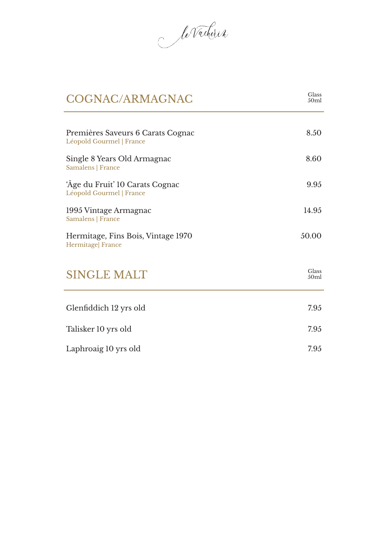le Vacherin

| COGNAC/ARMAGNAC                                               | Glass<br>50 <sub>ml</sub> |
|---------------------------------------------------------------|---------------------------|
| Premières Saveurs 6 Carats Cognac<br>Léopold Gourmel   France | 8.50                      |
| Single 8 Years Old Armagnac<br>Samalens   France              | 8.60                      |
| 'Âge du Fruit' 10 Carats Cognac<br>Léopold Gourmel   France   | 9.95                      |
| 1995 Vintage Armagnac<br>Samalens   France                    | 14.95                     |
| Hermitage, Fins Bois, Vintage 1970<br>Hermitage  France       | 50.00                     |
| <b>SINGLE MALT</b>                                            | Glass<br>50 <sub>ml</sub> |
| Glenfiddich 12 yrs old                                        | 7.95                      |
| Talisker 10 yrs old                                           | 7.95                      |
| Laphroaig 10 yrs old                                          | 7.95                      |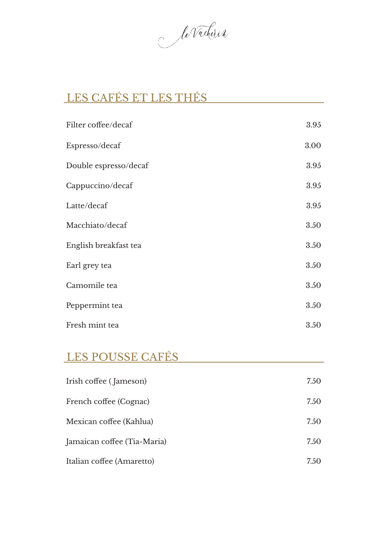le Vacherin

## LES CAFÉS ET LES THÉS

| Filter coffee/decaf   | 3.95 |
|-----------------------|------|
| Espresso/decaf        | 3.00 |
| Double espresso/decaf | 3.95 |
| Cappuccino/decaf      | 3.95 |
| Latte/decaf           | 3.95 |
| Macchiato/decaf       | 3.50 |
| English breakfast tea | 3.50 |
| Earl grey tea         | 3.50 |
| Camomile tea          | 3.50 |
| Peppermint tea        | 3.50 |
| Fresh mint tea        | 3.50 |

### LES POUSSE CAFÉS

| Irish coffee (Jameson)      | 7.50 |
|-----------------------------|------|
| French coffee (Cognac)      | 7.50 |
| Mexican coffee (Kahlua)     | 7.50 |
| Jamaican coffee (Tia-Maria) | 7.50 |
| Italian coffee (Amaretto)   | 7.50 |